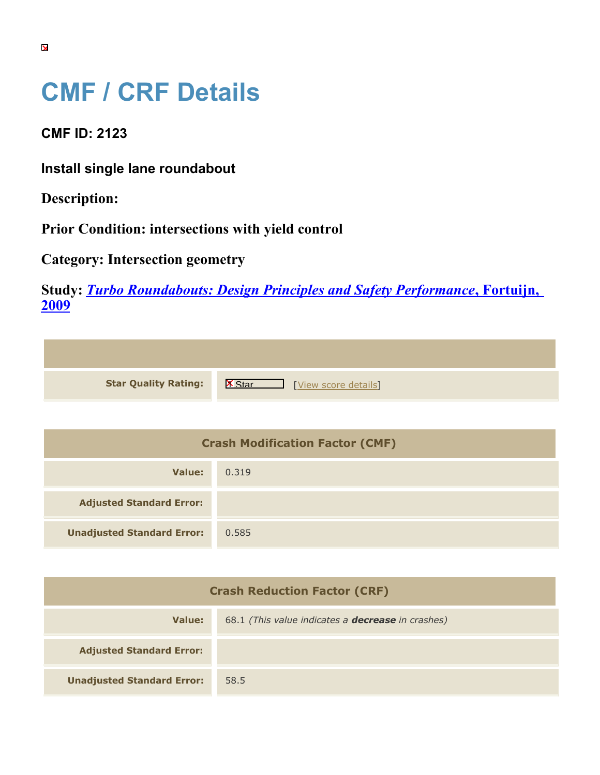## **CMF / CRF Details**

**CMF ID: 2123**

**Install single lane roundabout**

**Description:** 

**Prior Condition: intersections with yield control**

**Category: Intersection geometry**

**Study:** *[Turbo Roundabouts: Design Principles and Safety Performance](https://cmfclearinghouse.org/study_detail.cfm?stid=123)***[, Fortuijn,](https://cmfclearinghouse.org/study_detail.cfm?stid=123) [2009](https://cmfclearinghouse.org/study_detail.cfm?stid=123)**

| <b>Star Quality Rating:</b> | $\mathbb{R}$<br>[View score details] |
|-----------------------------|--------------------------------------|

| <b>Crash Modification Factor (CMF)</b> |       |
|----------------------------------------|-------|
| Value:                                 | 0.319 |
| <b>Adjusted Standard Error:</b>        |       |
| <b>Unadjusted Standard Error:</b>      | 0.585 |

| <b>Crash Reduction Factor (CRF)</b> |                                                          |
|-------------------------------------|----------------------------------------------------------|
| Value:                              | 68.1 (This value indicates a <b>decrease</b> in crashes) |
| <b>Adjusted Standard Error:</b>     |                                                          |
| <b>Unadjusted Standard Error:</b>   | 58.5                                                     |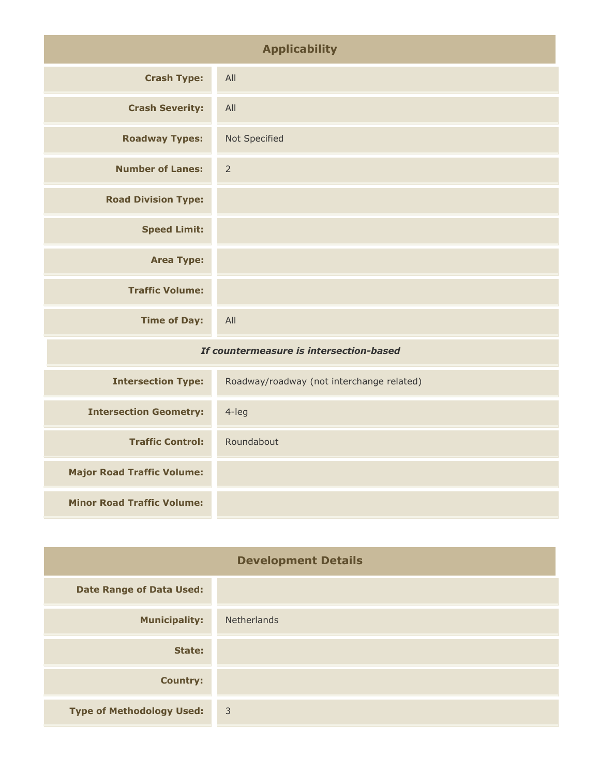| <b>Applicability</b>                    |                |
|-----------------------------------------|----------------|
| <b>Crash Type:</b>                      | All            |
| <b>Crash Severity:</b>                  | All            |
| <b>Roadway Types:</b>                   | Not Specified  |
| <b>Number of Lanes:</b>                 | $\overline{2}$ |
| <b>Road Division Type:</b>              |                |
| <b>Speed Limit:</b>                     |                |
| <b>Area Type:</b>                       |                |
| <b>Traffic Volume:</b>                  |                |
| <b>Time of Day:</b>                     | All            |
| If countermeasure is intersection-based |                |

| <b>Intersection Type:</b>         | Roadway/roadway (not interchange related) |
|-----------------------------------|-------------------------------------------|
| <b>Intersection Geometry:</b>     | 4-leg                                     |
| <b>Traffic Control:</b>           | Roundabout                                |
| <b>Major Road Traffic Volume:</b> |                                           |
| <b>Minor Road Traffic Volume:</b> |                                           |

| <b>Development Details</b>       |                    |
|----------------------------------|--------------------|
| <b>Date Range of Data Used:</b>  |                    |
| <b>Municipality:</b>             | <b>Netherlands</b> |
| State:                           |                    |
| <b>Country:</b>                  |                    |
| <b>Type of Methodology Used:</b> | $\overline{3}$     |